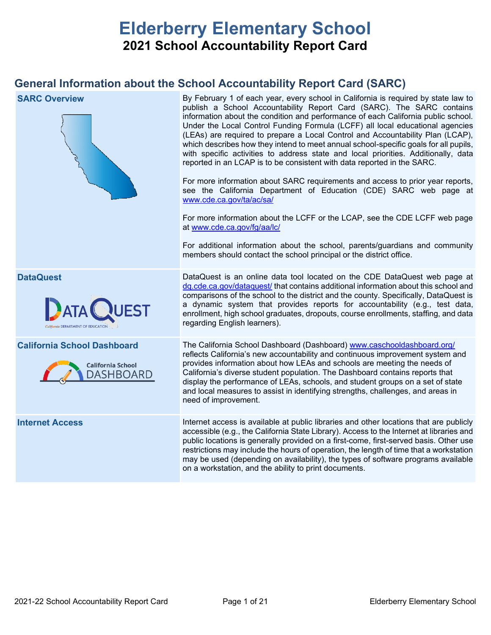# **Elderberry Elementary School 2021 School Accountability Report Card**

## **General Information about the School Accountability Report Card (SARC)**

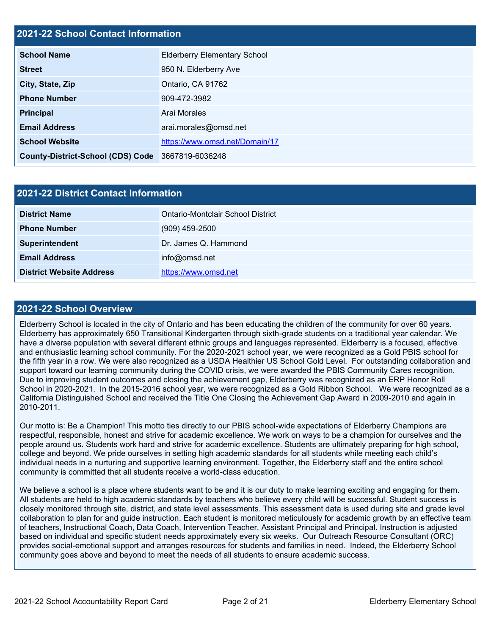## **2021-22 School Contact Information**

| <b>School Name</b>                                | <b>Elderberry Elementary School</b> |
|---------------------------------------------------|-------------------------------------|
| <b>Street</b>                                     | 950 N. Elderberry Ave               |
| City, State, Zip                                  | Ontario, CA 91762                   |
| <b>Phone Number</b>                               | 909-472-3982                        |
| <b>Principal</b>                                  | Arai Morales                        |
| <b>Email Address</b>                              | arai.morales@omsd.net               |
| <b>School Website</b>                             | https://www.omsd.net/Domain/17      |
| County-District-School (CDS) Code 3667819-6036248 |                                     |

| <b>2021-22 District Contact Information</b> |                                   |  |  |  |  |
|---------------------------------------------|-----------------------------------|--|--|--|--|
| <b>District Name</b>                        | Ontario-Montclair School District |  |  |  |  |
| <b>Phone Number</b>                         | $(909)$ 459-2500                  |  |  |  |  |
| Superintendent                              | Dr. James Q. Hammond              |  |  |  |  |
| <b>Email Address</b>                        | info@omsd.net                     |  |  |  |  |
| <b>District Website Address</b>             | https://www.omsd.net              |  |  |  |  |

### **2021-22 School Overview**

Elderberry School is located in the city of Ontario and has been educating the children of the community for over 60 years. Elderberry has approximately 650 Transitional Kindergarten through sixth-grade students on a traditional year calendar. We have a diverse population with several different ethnic groups and languages represented. Elderberry is a focused, effective and enthusiastic learning school community. For the 2020-2021 school year, we were recognized as a Gold PBIS school for the fifth year in a row. We were also recognized as a USDA Healthier US School Gold Level. For outstanding collaboration and support toward our learning community during the COVID crisis, we were awarded the PBIS Community Cares recognition. Due to improving student outcomes and closing the achievement gap, Elderberry was recognized as an ERP Honor Roll School in 2020-2021. In the 2015-2016 school year, we were recognized as a Gold Ribbon School. We were recognized as a California Distinguished School and received the Title One Closing the Achievement Gap Award in 2009-2010 and again in 2010-2011.

Our motto is: Be a Champion! This motto ties directly to our PBIS school-wide expectations of Elderberry Champions are respectful, responsible, honest and strive for academic excellence. We work on ways to be a champion for ourselves and the people around us. Students work hard and strive for academic excellence. Students are ultimately preparing for high school, college and beyond. We pride ourselves in setting high academic standards for all students while meeting each child's individual needs in a nurturing and supportive learning environment. Together, the Elderberry staff and the entire school community is committed that all students receive a world-class education.

We believe a school is a place where students want to be and it is our duty to make learning exciting and engaging for them. All students are held to high academic standards by teachers who believe every child will be successful. Student success is closely monitored through site, district, and state level assessments. This assessment data is used during site and grade level collaboration to plan for and guide instruction. Each student is monitored meticulously for academic growth by an effective team of teachers, Instructional Coach, Data Coach, Intervention Teacher, Assistant Principal and Principal. Instruction is adjusted based on individual and specific student needs approximately every six weeks. Our Outreach Resource Consultant (ORC) provides social-emotional support and arranges resources for students and families in need. Indeed, the Elderberry School community goes above and beyond to meet the needs of all students to ensure academic success.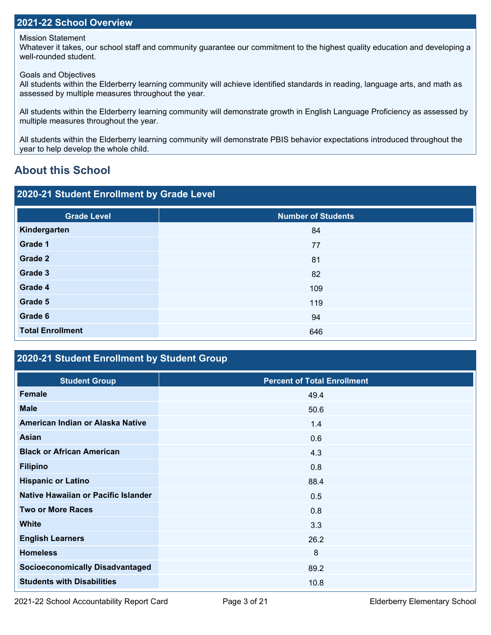### **2021-22 School Overview**

Mission Statement

Whatever it takes, our school staff and community guarantee our commitment to the highest quality education and developing a well-rounded student.

Goals and Objectives

All students within the Elderberry learning community will achieve identified standards in reading, language arts, and math as assessed by multiple measures throughout the year.

All students within the Elderberry learning community will demonstrate growth in English Language Proficiency as assessed by multiple measures throughout the year.

All students within the Elderberry learning community will demonstrate PBIS behavior expectations introduced throughout the year to help develop the whole child.

## **About this School**

| 2020-21 Student Enrollment by Grade Level |                           |  |  |  |  |  |
|-------------------------------------------|---------------------------|--|--|--|--|--|
| <b>Grade Level</b>                        | <b>Number of Students</b> |  |  |  |  |  |
| Kindergarten                              | 84                        |  |  |  |  |  |
| Grade 1                                   | 77                        |  |  |  |  |  |
| Grade 2                                   | 81                        |  |  |  |  |  |
| Grade 3                                   | 82                        |  |  |  |  |  |
| Grade 4                                   | 109                       |  |  |  |  |  |
| Grade 5                                   | 119                       |  |  |  |  |  |
| Grade 6                                   | 94                        |  |  |  |  |  |
| <b>Total Enrollment</b>                   | 646                       |  |  |  |  |  |

## **2020-21 Student Enrollment by Student Group**

| <b>Student Group</b>                   | <b>Percent of Total Enrollment</b> |
|----------------------------------------|------------------------------------|
| <b>Female</b>                          | 49.4                               |
| <b>Male</b>                            | 50.6                               |
| American Indian or Alaska Native       | 1.4                                |
| <b>Asian</b>                           | 0.6                                |
| <b>Black or African American</b>       | 4.3                                |
| <b>Filipino</b>                        | 0.8                                |
| <b>Hispanic or Latino</b>              | 88.4                               |
| Native Hawaiian or Pacific Islander    | 0.5                                |
| <b>Two or More Races</b>               | 0.8                                |
| <b>White</b>                           | 3.3                                |
| <b>English Learners</b>                | 26.2                               |
| <b>Homeless</b>                        | 8                                  |
| <b>Socioeconomically Disadvantaged</b> | 89.2                               |
| <b>Students with Disabilities</b>      | 10.8                               |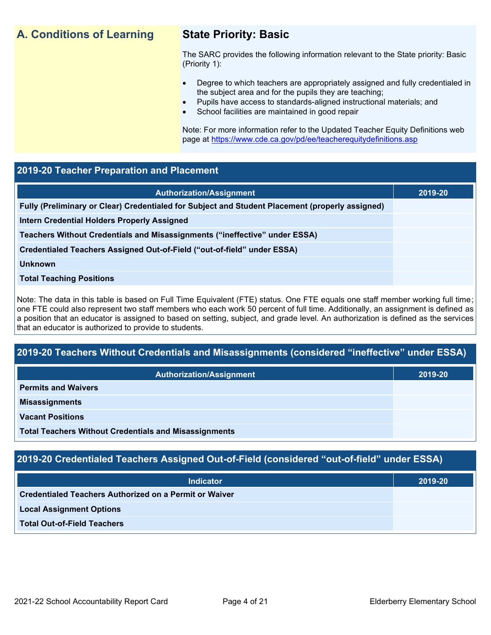## **A. Conditions of Learning State Priority: Basic**

The SARC provides the following information relevant to the State priority: Basic (Priority 1):

- Degree to which teachers are appropriately assigned and fully credentialed in the subject area and for the pupils they are teaching;
	- Pupils have access to standards-aligned instructional materials; and
- School facilities are maintained in good repair

Note: For more information refer to the Updated Teacher Equity Definitions web page at<https://www.cde.ca.gov/pd/ee/teacherequitydefinitions.asp>

# **2019-20 Teacher Preparation and Placement Authorization/Assignment 2019-20 Fully (Preliminary or Clear) Credentialed for Subject and Student Placement (properly assigned) Intern Credential Holders Properly Assigned Teachers Without Credentials and Misassignments ("ineffective" under ESSA) Credentialed Teachers Assigned Out-of-Field ("out-of-field" under ESSA) Unknown Total Teaching Positions**

Note: The data in this table is based on Full Time Equivalent (FTE) status. One FTE equals one staff member working full time; one FTE could also represent two staff members who each work 50 percent of full time. Additionally, an assignment is defined as a position that an educator is assigned to based on setting, subject, and grade level. An authorization is defined as the services that an educator is authorized to provide to students.

## **2019-20 Teachers Without Credentials and Misassignments (considered "ineffective" under ESSA)**

| <b>Authorization/Assignment</b>                              | 2019-20 |
|--------------------------------------------------------------|---------|
| <b>Permits and Waivers</b>                                   |         |
| <b>Misassignments</b>                                        |         |
| <b>Vacant Positions</b>                                      |         |
| <b>Total Teachers Without Credentials and Misassignments</b> |         |

## **2019-20 Credentialed Teachers Assigned Out-of-Field (considered "out-of-field" under ESSA)**

| <b>Indicator</b>                                       | 2019-20 |
|--------------------------------------------------------|---------|
| Credentialed Teachers Authorized on a Permit or Waiver |         |
| <b>Local Assignment Options</b>                        |         |
| <b>Total Out-of-Field Teachers</b>                     |         |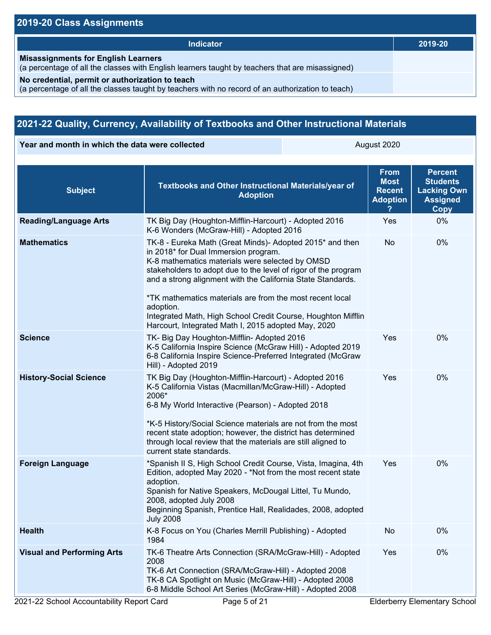| <b>Indicator</b>                                                                                                                                    | 2019-20 |
|-----------------------------------------------------------------------------------------------------------------------------------------------------|---------|
| <b>Misassignments for English Learners</b><br>(a percentage of all the classes with English learners taught by teachers that are misassigned)       |         |
| No credential, permit or authorization to teach<br>(a percentage of all the classes taught by teachers with no record of an authorization to teach) |         |

## **2021-22 Quality, Currency, Availability of Textbooks and Other Instructional Materials**

**Year and month in which the data were collected August 2020** August 2020

| <b>Subject</b>                    | Textbooks and Other Instructional Materials/year of<br><b>Adoption</b>                                                                                                                                                                                                                                                                                                                                                                                                               | <b>From</b><br><b>Most</b><br><b>Recent</b><br><b>Adoption</b> | <b>Percent</b><br><b>Students</b><br><b>Lacking Own</b><br><b>Assigned</b><br><b>Copy</b> |
|-----------------------------------|--------------------------------------------------------------------------------------------------------------------------------------------------------------------------------------------------------------------------------------------------------------------------------------------------------------------------------------------------------------------------------------------------------------------------------------------------------------------------------------|----------------------------------------------------------------|-------------------------------------------------------------------------------------------|
| <b>Reading/Language Arts</b>      | TK Big Day (Houghton-Mifflin-Harcourt) - Adopted 2016<br>K-6 Wonders (McGraw-Hill) - Adopted 2016                                                                                                                                                                                                                                                                                                                                                                                    | Yes                                                            | 0%                                                                                        |
| <b>Mathematics</b>                | TK-8 - Eureka Math (Great Minds)- Adopted 2015* and then<br>in 2018* for Dual Immersion program.<br>K-8 mathematics materials were selected by OMSD<br>stakeholders to adopt due to the level of rigor of the program<br>and a strong alignment with the California State Standards.<br>*TK mathematics materials are from the most recent local<br>adoption.<br>Integrated Math, High School Credit Course, Houghton Mifflin<br>Harcourt, Integrated Math I, 2015 adopted May, 2020 | No                                                             | 0%                                                                                        |
| <b>Science</b>                    | TK- Big Day Houghton-Mifflin- Adopted 2016<br>K-5 California Inspire Science (McGraw Hill) - Adopted 2019<br>6-8 California Inspire Science-Preferred Integrated (McGraw<br>Hill) - Adopted 2019                                                                                                                                                                                                                                                                                     | Yes                                                            | 0%                                                                                        |
| <b>History-Social Science</b>     | TK Big Day (Houghton-Mifflin-Harcourt) - Adopted 2016<br>K-5 California Vistas (Macmillan/McGraw-Hill) - Adopted<br>2006*<br>6-8 My World Interactive (Pearson) - Adopted 2018<br>*K-5 History/Social Science materials are not from the most<br>recent state adoption; however, the district has determined<br>through local review that the materials are still aligned to<br>current state standards.                                                                             | Yes                                                            | 0%                                                                                        |
| <b>Foreign Language</b>           | *Spanish II S, High School Credit Course, Vista, Imagina, 4th<br>Edition, adopted May 2020 - *Not from the most recent state<br>adoption.<br>Spanish for Native Speakers, McDougal Littel, Tu Mundo,<br>2008, adopted July 2008<br>Beginning Spanish, Prentice Hall, Realidades, 2008, adopted<br><b>July 2008</b>                                                                                                                                                                   | Yes                                                            | 0%                                                                                        |
| <b>Health</b>                     | K-8 Focus on You (Charles Merrill Publishing) - Adopted<br>1984                                                                                                                                                                                                                                                                                                                                                                                                                      | No                                                             | 0%                                                                                        |
| <b>Visual and Performing Arts</b> | TK-6 Theatre Arts Connection (SRA/McGraw-Hill) - Adopted<br>2008<br>TK-6 Art Connection (SRA/McGraw-Hill) - Adopted 2008<br>TK-8 CA Spotlight on Music (McGraw-Hill) - Adopted 2008<br>6-8 Middle School Art Series (McGraw-Hill) - Adopted 2008                                                                                                                                                                                                                                     | Yes                                                            | 0%                                                                                        |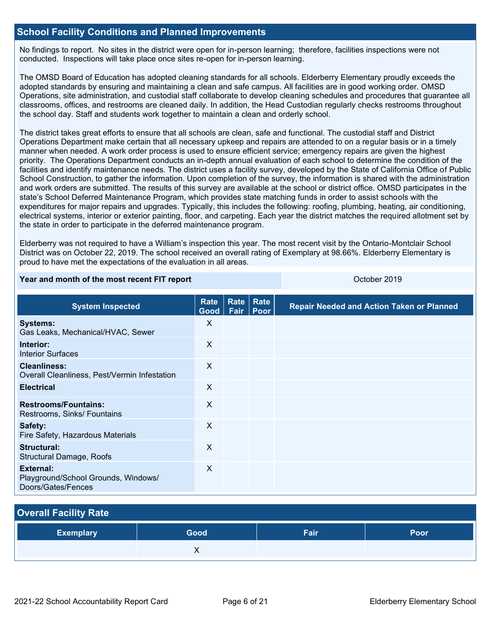## **School Facility Conditions and Planned Improvements**

No findings to report. No sites in the district were open for in-person learning; therefore, facilities inspections were not conducted. Inspections will take place once sites re-open for in-person learning.

The OMSD Board of Education has adopted cleaning standards for all schools. Elderberry Elementary proudly exceeds the adopted standards by ensuring and maintaining a clean and safe campus. All facilities are in good working order. OMSD Operations, site administration, and custodial staff collaborate to develop cleaning schedules and procedures that guarantee all classrooms, offices, and restrooms are cleaned daily. In addition, the Head Custodian regularly checks restrooms throughout the school day. Staff and students work together to maintain a clean and orderly school.

The district takes great efforts to ensure that all schools are clean, safe and functional. The custodial staff and District Operations Department make certain that all necessary upkeep and repairs are attended to on a regular basis or in a timely manner when needed. A work order process is used to ensure efficient service; emergency repairs are given the highest priority. The Operations Department conducts an in-depth annual evaluation of each school to determine the condition of the facilities and identify maintenance needs. The district uses a facility survey, developed by the State of California Office of Public School Construction, to gather the information. Upon completion of the survey, the information is shared with the administration and work orders are submitted. The results of this survey are available at the school or district office. OMSD participates in the state's School Deferred Maintenance Program, which provides state matching funds in order to assist schools with the expenditures for major repairs and upgrades. Typically, this includes the following: roofing, plumbing, heating, air conditioning, electrical systems, interior or exterior painting, floor, and carpeting. Each year the district matches the required allotment set by the state in order to participate in the deferred maintenance program.

Elderberry was not required to have a William's inspection this year. The most recent visit by the Ontario-Montclair School District was on October 22, 2019. The school received an overall rating of Exemplary at 98.66%. Elderberry Elementary is proud to have met the expectations of the evaluation in all areas.

### **Year and month of the most recent FIT report** Contained All Contained All Coronavia Coronavia Coronavia Coronavia

| <b>System Inspected</b>                                                | <b>Rate</b><br>Good | <b>Rate</b><br>Fair | Rate<br>Poor | <b>Repair Needed and Action Taken or Planned</b> |
|------------------------------------------------------------------------|---------------------|---------------------|--------------|--------------------------------------------------|
| <b>Systems:</b><br>Gas Leaks, Mechanical/HVAC, Sewer                   | X                   |                     |              |                                                  |
| Interior:<br><b>Interior Surfaces</b>                                  | X                   |                     |              |                                                  |
| <b>Cleanliness:</b><br>Overall Cleanliness, Pest/Vermin Infestation    | X                   |                     |              |                                                  |
| <b>Electrical</b>                                                      | X                   |                     |              |                                                  |
| <b>Restrooms/Fountains:</b><br>Restrooms, Sinks/ Fountains             | X                   |                     |              |                                                  |
| Safety:<br>Fire Safety, Hazardous Materials                            | X                   |                     |              |                                                  |
| Structural:<br><b>Structural Damage, Roofs</b>                         | X                   |                     |              |                                                  |
| External:<br>Playground/School Grounds, Windows/<br>Doors/Gates/Fences | X                   |                     |              |                                                  |

# **Overall Facility Rate Exemplary Good Fair Poor X X**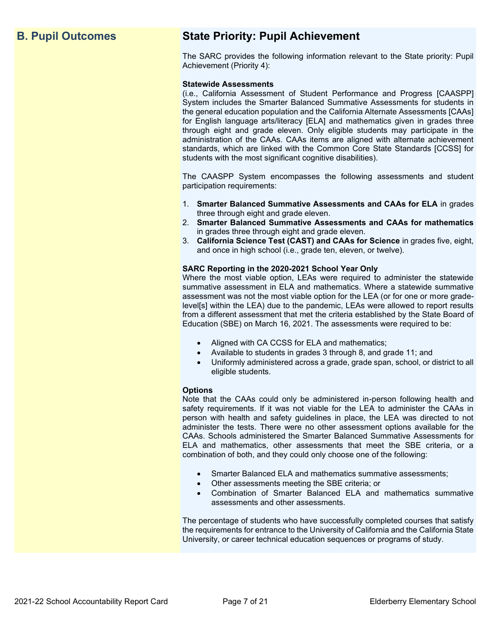## **B. Pupil Outcomes State Priority: Pupil Achievement**

The SARC provides the following information relevant to the State priority: Pupil Achievement (Priority 4):

### **Statewide Assessments**

(i.e., California Assessment of Student Performance and Progress [CAASPP] System includes the Smarter Balanced Summative Assessments for students in the general education population and the California Alternate Assessments [CAAs] for English language arts/literacy [ELA] and mathematics given in grades three through eight and grade eleven. Only eligible students may participate in the administration of the CAAs. CAAs items are aligned with alternate achievement standards, which are linked with the Common Core State Standards [CCSS] for students with the most significant cognitive disabilities).

The CAASPP System encompasses the following assessments and student participation requirements:

- 1. **Smarter Balanced Summative Assessments and CAAs for ELA** in grades three through eight and grade eleven.
- 2. **Smarter Balanced Summative Assessments and CAAs for mathematics** in grades three through eight and grade eleven.
- 3. **California Science Test (CAST) and CAAs for Science** in grades five, eight, and once in high school (i.e., grade ten, eleven, or twelve).

### **SARC Reporting in the 2020-2021 School Year Only**

Where the most viable option, LEAs were required to administer the statewide summative assessment in ELA and mathematics. Where a statewide summative assessment was not the most viable option for the LEA (or for one or more gradelevel[s] within the LEA) due to the pandemic, LEAs were allowed to report results from a different assessment that met the criteria established by the State Board of Education (SBE) on March 16, 2021. The assessments were required to be:

- Aligned with CA CCSS for ELA and mathematics;
- Available to students in grades 3 through 8, and grade 11; and
- Uniformly administered across a grade, grade span, school, or district to all eligible students.

### **Options**

Note that the CAAs could only be administered in-person following health and safety requirements. If it was not viable for the LEA to administer the CAAs in person with health and safety guidelines in place, the LEA was directed to not administer the tests. There were no other assessment options available for the CAAs. Schools administered the Smarter Balanced Summative Assessments for ELA and mathematics, other assessments that meet the SBE criteria, or a combination of both, and they could only choose one of the following:

- Smarter Balanced ELA and mathematics summative assessments;
- Other assessments meeting the SBE criteria; or
- Combination of Smarter Balanced ELA and mathematics summative assessments and other assessments.

The percentage of students who have successfully completed courses that satisfy the requirements for entrance to the University of California and the California State University, or career technical education sequences or programs of study.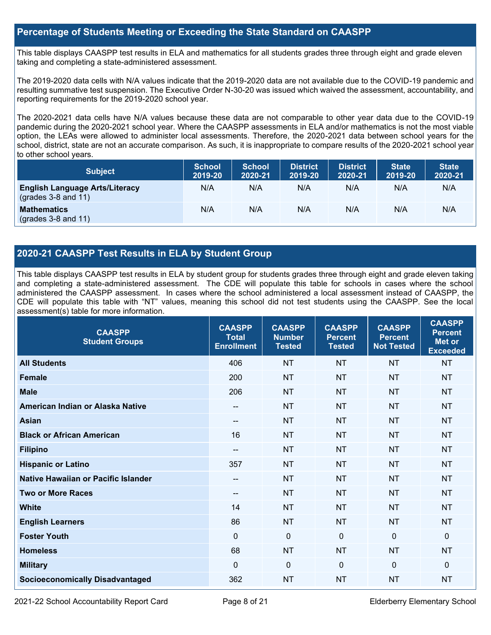## **Percentage of Students Meeting or Exceeding the State Standard on CAASPP**

This table displays CAASPP test results in ELA and mathematics for all students grades three through eight and grade eleven taking and completing a state-administered assessment.

The 2019-2020 data cells with N/A values indicate that the 2019-2020 data are not available due to the COVID-19 pandemic and resulting summative test suspension. The Executive Order N-30-20 was issued which waived the assessment, accountability, and reporting requirements for the 2019-2020 school year.

The 2020-2021 data cells have N/A values because these data are not comparable to other year data due to the COVID-19 pandemic during the 2020-2021 school year. Where the CAASPP assessments in ELA and/or mathematics is not the most viable option, the LEAs were allowed to administer local assessments. Therefore, the 2020-2021 data between school years for the school, district, state are not an accurate comparison. As such, it is inappropriate to compare results of the 2020-2021 school year to other school years.

| <b>Subject</b>                                                       | <b>School</b><br>2019-20 | <b>School</b><br>2020-21 | <b>District</b><br>2019-20 | <b>District</b><br>2020-21 | <b>State</b><br>2019-20 | <b>State</b><br>2020-21 |
|----------------------------------------------------------------------|--------------------------|--------------------------|----------------------------|----------------------------|-------------------------|-------------------------|
| <b>English Language Arts/Literacy</b><br>$\left($ grades 3-8 and 11) | N/A                      | N/A                      | N/A                        | N/A                        | N/A                     | N/A                     |
| <b>Mathematics</b><br>$(grades 3-8 and 11)$                          | N/A                      | N/A                      | N/A                        | N/A                        | N/A                     | N/A                     |

## **2020-21 CAASPP Test Results in ELA by Student Group**

This table displays CAASPP test results in ELA by student group for students grades three through eight and grade eleven taking and completing a state-administered assessment. The CDE will populate this table for schools in cases where the school administered the CAASPP assessment. In cases where the school administered a local assessment instead of CAASPP, the CDE will populate this table with "NT" values, meaning this school did not test students using the CAASPP. See the local assessment(s) table for more information.

| <b>CAASPP</b><br><b>Student Groups</b>     | <b>CAASPP</b><br><b>Total</b><br><b>Enrollment</b> | <b>CAASPP</b><br><b>Number</b><br><b>Tested</b> | <b>CAASPP</b><br><b>Percent</b><br><b>Tested</b> | <b>CAASPP</b><br><b>Percent</b><br><b>Not Tested</b> | <b>CAASPP</b><br><b>Percent</b><br><b>Met or</b><br><b>Exceeded</b> |
|--------------------------------------------|----------------------------------------------------|-------------------------------------------------|--------------------------------------------------|------------------------------------------------------|---------------------------------------------------------------------|
| <b>All Students</b>                        | 406                                                | <b>NT</b>                                       | <b>NT</b>                                        | <b>NT</b>                                            | <b>NT</b>                                                           |
| <b>Female</b>                              | 200                                                | <b>NT</b>                                       | <b>NT</b>                                        | <b>NT</b>                                            | <b>NT</b>                                                           |
| <b>Male</b>                                | 206                                                | <b>NT</b>                                       | <b>NT</b>                                        | <b>NT</b>                                            | <b>NT</b>                                                           |
| American Indian or Alaska Native           | $\qquad \qquad -$                                  | <b>NT</b>                                       | <b>NT</b>                                        | <b>NT</b>                                            | <b>NT</b>                                                           |
| <b>Asian</b>                               | --                                                 | <b>NT</b>                                       | <b>NT</b>                                        | <b>NT</b>                                            | <b>NT</b>                                                           |
| <b>Black or African American</b>           | 16                                                 | <b>NT</b>                                       | <b>NT</b>                                        | <b>NT</b>                                            | <b>NT</b>                                                           |
| <b>Filipino</b>                            | --                                                 | <b>NT</b>                                       | <b>NT</b>                                        | <b>NT</b>                                            | <b>NT</b>                                                           |
| <b>Hispanic or Latino</b>                  | 357                                                | <b>NT</b>                                       | <b>NT</b>                                        | <b>NT</b>                                            | <b>NT</b>                                                           |
| <b>Native Hawaiian or Pacific Islander</b> | --                                                 | <b>NT</b>                                       | <b>NT</b>                                        | <b>NT</b>                                            | <b>NT</b>                                                           |
| <b>Two or More Races</b>                   | --                                                 | <b>NT</b>                                       | <b>NT</b>                                        | <b>NT</b>                                            | <b>NT</b>                                                           |
| <b>White</b>                               | 14                                                 | <b>NT</b>                                       | <b>NT</b>                                        | <b>NT</b>                                            | <b>NT</b>                                                           |
| <b>English Learners</b>                    | 86                                                 | <b>NT</b>                                       | <b>NT</b>                                        | <b>NT</b>                                            | <b>NT</b>                                                           |
| <b>Foster Youth</b>                        | $\mathbf 0$                                        | $\mathbf 0$                                     | $\Omega$                                         | $\Omega$                                             | $\mathbf{0}$                                                        |
| <b>Homeless</b>                            | 68                                                 | <b>NT</b>                                       | <b>NT</b>                                        | <b>NT</b>                                            | <b>NT</b>                                                           |
| <b>Military</b>                            | $\Omega$                                           | $\mathbf 0$                                     | $\Omega$                                         | $\Omega$                                             | 0                                                                   |
| <b>Socioeconomically Disadvantaged</b>     | 362                                                | <b>NT</b>                                       | <b>NT</b>                                        | <b>NT</b>                                            | <b>NT</b>                                                           |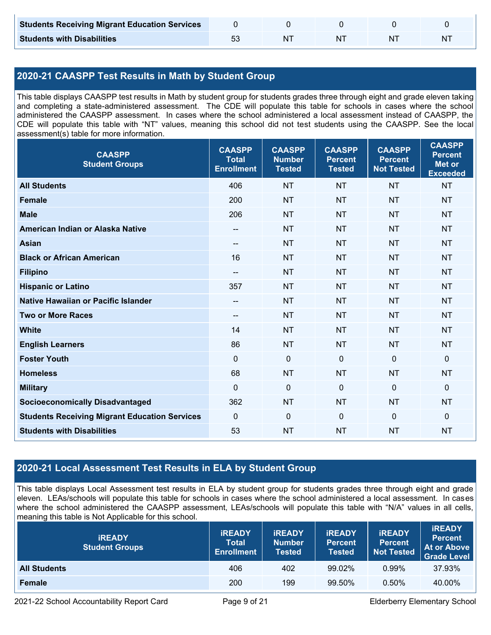| <b>Students Receiving Migrant Education Services</b> |  |    |  |
|------------------------------------------------------|--|----|--|
| <b>Students with Disabilities</b>                    |  | ΝI |  |

## **2020-21 CAASPP Test Results in Math by Student Group**

This table displays CAASPP test results in Math by student group for students grades three through eight and grade eleven taking and completing a state-administered assessment. The CDE will populate this table for schools in cases where the school administered the CAASPP assessment. In cases where the school administered a local assessment instead of CAASPP, the CDE will populate this table with "NT" values, meaning this school did not test students using the CAASPP. See the local assessment(s) table for more information.

| <b>CAASPP</b><br><b>Student Groups</b>               | <b>CAASPP</b><br><b>Total</b><br><b>Enrollment</b> | <b>CAASPP</b><br><b>Number</b><br><b>Tested</b> | <b>CAASPP</b><br><b>Percent</b><br><b>Tested</b> | <b>CAASPP</b><br><b>Percent</b><br><b>Not Tested</b> | <b>CAASPP</b><br><b>Percent</b><br><b>Met or</b><br><b>Exceeded</b> |
|------------------------------------------------------|----------------------------------------------------|-------------------------------------------------|--------------------------------------------------|------------------------------------------------------|---------------------------------------------------------------------|
| <b>All Students</b>                                  | 406                                                | <b>NT</b>                                       | <b>NT</b>                                        | <b>NT</b>                                            | <b>NT</b>                                                           |
| <b>Female</b>                                        | 200                                                | <b>NT</b>                                       | <b>NT</b>                                        | <b>NT</b>                                            | <b>NT</b>                                                           |
| <b>Male</b>                                          | 206                                                | <b>NT</b>                                       | <b>NT</b>                                        | <b>NT</b>                                            | <b>NT</b>                                                           |
| American Indian or Alaska Native                     | $\overline{\phantom{a}}$                           | <b>NT</b>                                       | <b>NT</b>                                        | <b>NT</b>                                            | <b>NT</b>                                                           |
| <b>Asian</b>                                         | $-$                                                | <b>NT</b>                                       | <b>NT</b>                                        | <b>NT</b>                                            | <b>NT</b>                                                           |
| <b>Black or African American</b>                     | 16                                                 | <b>NT</b>                                       | <b>NT</b>                                        | <b>NT</b>                                            | <b>NT</b>                                                           |
| <b>Filipino</b>                                      | $\overline{\phantom{a}}$                           | <b>NT</b>                                       | <b>NT</b>                                        | <b>NT</b>                                            | <b>NT</b>                                                           |
| <b>Hispanic or Latino</b>                            | 357                                                | <b>NT</b>                                       | <b>NT</b>                                        | <b>NT</b>                                            | <b>NT</b>                                                           |
| Native Hawaiian or Pacific Islander                  | $- -$                                              | <b>NT</b>                                       | <b>NT</b>                                        | <b>NT</b>                                            | <b>NT</b>                                                           |
| <b>Two or More Races</b>                             | --                                                 | <b>NT</b>                                       | <b>NT</b>                                        | <b>NT</b>                                            | <b>NT</b>                                                           |
| <b>White</b>                                         | 14                                                 | <b>NT</b>                                       | <b>NT</b>                                        | <b>NT</b>                                            | NT                                                                  |
| <b>English Learners</b>                              | 86                                                 | <b>NT</b>                                       | <b>NT</b>                                        | <b>NT</b>                                            | <b>NT</b>                                                           |
| <b>Foster Youth</b>                                  | $\Omega$                                           | $\mathbf 0$                                     | $\mathbf{0}$                                     | $\mathbf 0$                                          | 0                                                                   |
| <b>Homeless</b>                                      | 68                                                 | <b>NT</b>                                       | <b>NT</b>                                        | <b>NT</b>                                            | <b>NT</b>                                                           |
| <b>Military</b>                                      | $\mathbf{0}$                                       | $\pmb{0}$                                       | $\mathbf 0$                                      | $\mathbf 0$                                          | 0                                                                   |
| <b>Socioeconomically Disadvantaged</b>               | 362                                                | <b>NT</b>                                       | <b>NT</b>                                        | <b>NT</b>                                            | <b>NT</b>                                                           |
| <b>Students Receiving Migrant Education Services</b> | $\mathbf 0$                                        | $\mathbf 0$                                     | $\mathbf 0$                                      | $\mathbf 0$                                          | 0                                                                   |
| <b>Students with Disabilities</b>                    | 53                                                 | <b>NT</b>                                       | <b>NT</b>                                        | <b>NT</b>                                            | <b>NT</b>                                                           |

## **2020-21 Local Assessment Test Results in ELA by Student Group**

This table displays Local Assessment test results in ELA by student group for students grades three through eight and grade eleven. LEAs/schools will populate this table for schools in cases where the school administered a local assessment. In cases where the school administered the CAASPP assessment, LEAs/schools will populate this table with "N/A" values in all cells, meaning this table is Not Applicable for this school.

| <b>IREADY</b><br><b>Student Groups</b> | <b>IREADY</b><br><b>Total</b><br><b>Enrollment</b> | <b>IREADY</b><br><b>Number</b><br><b>Tested</b> | <b>IREADY</b><br><b>Percent</b><br><b>Tested</b> | <b>IREADY</b><br><b>Percent</b><br><b>Not Tested</b> | <b>IREADY</b><br><b>Percent</b><br><b>At or Above</b><br><b>Grade Level</b> |
|----------------------------------------|----------------------------------------------------|-------------------------------------------------|--------------------------------------------------|------------------------------------------------------|-----------------------------------------------------------------------------|
| <b>All Students</b>                    | 406                                                | 402                                             | 99.02%                                           | $0.99\%$                                             | 37.93%                                                                      |
| Female                                 | 200                                                | 199                                             | 99.50%                                           | 0.50%                                                | 40.00%                                                                      |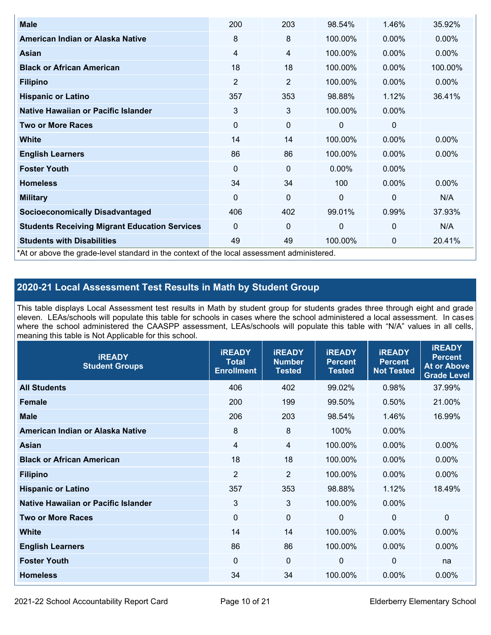| <b>Male</b>                                                                                | 200            | 203            | 98.54%       | 1.46%          | 35.92%   |
|--------------------------------------------------------------------------------------------|----------------|----------------|--------------|----------------|----------|
| American Indian or Alaska Native                                                           | 8              | 8              | 100.00%      | $0.00\%$       | $0.00\%$ |
| <b>Asian</b>                                                                               | 4              | 4              | 100.00%      | $0.00\%$       | 0.00%    |
| <b>Black or African American</b>                                                           | 18             | 18             | 100.00%      | $0.00\%$       | 100.00%  |
| <b>Filipino</b>                                                                            | $\overline{2}$ | $\overline{2}$ | 100.00%      | $0.00\%$       | 0.00%    |
| <b>Hispanic or Latino</b>                                                                  | 357            | 353            | 98.88%       | 1.12%          | 36.41%   |
| Native Hawaiian or Pacific Islander                                                        | 3              | 3              | 100.00%      | 0.00%          |          |
| <b>Two or More Races</b>                                                                   | $\mathbf 0$    | 0              | 0            | 0              |          |
| White                                                                                      | 14             | 14             | 100.00%      | $0.00\%$       | $0.00\%$ |
| <b>English Learners</b>                                                                    | 86             | 86             | 100.00%      | $0.00\%$       | $0.00\%$ |
| <b>Foster Youth</b>                                                                        | $\Omega$       | 0              | $0.00\%$     | $0.00\%$       |          |
| <b>Homeless</b>                                                                            | 34             | 34             | 100          | 0.00%          | $0.00\%$ |
| <b>Military</b>                                                                            | $\Omega$       | $\mathbf 0$    | $\mathbf{0}$ | $\overline{0}$ | N/A      |
| <b>Socioeconomically Disadvantaged</b>                                                     | 406            | 402            | 99.01%       | 0.99%          | 37.93%   |
| <b>Students Receiving Migrant Education Services</b>                                       | $\Omega$       | 0              | 0            | $\mathbf{0}$   | N/A      |
| <b>Students with Disabilities</b>                                                          | 49             | 49             | 100.00%      | 0              | 20.41%   |
| *At or above the grade-level standard in the context of the local assessment administered. |                |                |              |                |          |

## **2020-21 Local Assessment Test Results in Math by Student Group**

This table displays Local Assessment test results in Math by student group for students grades three through eight and grade eleven. LEAs/schools will populate this table for schools in cases where the school administered a local assessment. In cases where the school administered the CAASPP assessment, LEAs/schools will populate this table with "N/A" values in all cells, meaning this table is Not Applicable for this school.

| <b>iREADY</b><br><b>Student Groups</b> | <b>IREADY</b><br><b>Total</b><br><b>Enrollment</b> | <b>iREADY</b><br><b>Number</b><br><b>Tested</b> | <b>iREADY</b><br><b>Percent</b><br><b>Tested</b> | <b>IREADY</b><br><b>Percent</b><br><b>Not Tested</b> | <b>IREADY</b><br><b>Percent</b><br><b>At or Above</b><br><b>Grade Level</b> |
|----------------------------------------|----------------------------------------------------|-------------------------------------------------|--------------------------------------------------|------------------------------------------------------|-----------------------------------------------------------------------------|
| <b>All Students</b>                    | 406                                                | 402                                             | 99.02%                                           | 0.98%                                                | 37.99%                                                                      |
| <b>Female</b>                          | 200                                                | 199                                             | 99.50%                                           | 0.50%                                                | 21.00%                                                                      |
| <b>Male</b>                            | 206                                                | 203                                             | 98.54%                                           | 1.46%                                                | 16.99%                                                                      |
| American Indian or Alaska Native       | 8                                                  | $\boldsymbol{8}$                                | 100%                                             | 0.00%                                                |                                                                             |
| Asian                                  | $\overline{4}$                                     | $\overline{4}$                                  | 100.00%                                          | 0.00%                                                | 0.00%                                                                       |
| <b>Black or African American</b>       | 18                                                 | 18                                              | 100.00%                                          | 0.00%                                                | 0.00%                                                                       |
| <b>Filipino</b>                        | $\overline{2}$                                     | $\overline{2}$                                  | 100.00%                                          | 0.00%                                                | 0.00%                                                                       |
| <b>Hispanic or Latino</b>              | 357                                                | 353                                             | 98.88%                                           | 1.12%                                                | 18.49%                                                                      |
| Native Hawaiian or Pacific Islander    | 3                                                  | 3                                               | 100.00%                                          | 0.00%                                                |                                                                             |
| <b>Two or More Races</b>               | $\mathbf 0$                                        | $\mathbf 0$                                     | $\mathbf{0}$                                     | $\overline{0}$                                       | $\Omega$                                                                    |
| <b>White</b>                           | 14                                                 | 14                                              | 100.00%                                          | 0.00%                                                | 0.00%                                                                       |
| <b>English Learners</b>                | 86                                                 | 86                                              | 100.00%                                          | 0.00%                                                | $0.00\%$                                                                    |
| <b>Foster Youth</b>                    | 0                                                  | $\mathbf 0$                                     | 0                                                | $\mathbf 0$                                          | na                                                                          |
| <b>Homeless</b>                        | 34                                                 | 34                                              | 100.00%                                          | 0.00%                                                | 0.00%                                                                       |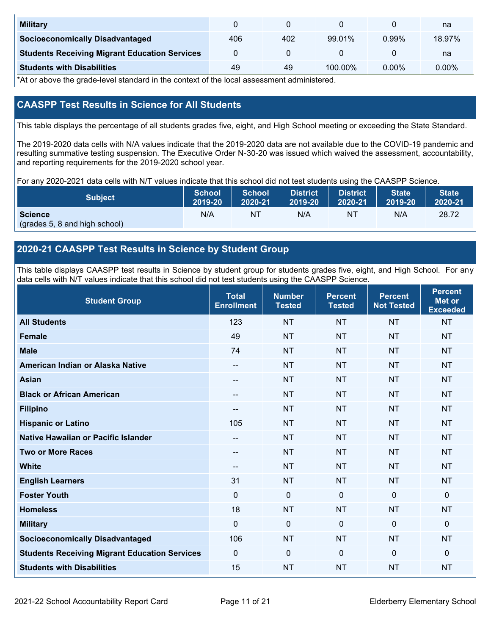| <b>Military</b>                                      |     |     |         |       | na       |
|------------------------------------------------------|-----|-----|---------|-------|----------|
| <b>Socioeconomically Disadvantaged</b>               | 406 | 402 | 99.01%  | 0.99% | 18.97%   |
| <b>Students Receiving Migrant Education Services</b> |     |     |         |       | na       |
| <b>Students with Disabilities</b>                    | 49  | 49  | 100.00% | 0.00% | $0.00\%$ |

\*At or above the grade-level standard in the context of the local assessment administered.

## **CAASPP Test Results in Science for All Students**

This table displays the percentage of all students grades five, eight, and High School meeting or exceeding the State Standard.

The 2019-2020 data cells with N/A values indicate that the 2019-2020 data are not available due to the COVID-19 pandemic and resulting summative testing suspension. The Executive Order N-30-20 was issued which waived the assessment, accountability, and reporting requirements for the 2019-2020 school year.

For any 2020-2021 data cells with N/T values indicate that this school did not test students using the CAASPP Science.

| <b>Subject</b>                                  | School  | <b>School</b> | <b>District</b> | District | <b>State</b> | State <sup>1</sup> |
|-------------------------------------------------|---------|---------------|-----------------|----------|--------------|--------------------|
|                                                 | 2019-20 | 2020-21       | <b>M2019-20</b> | 2020-21  | 2019-20      | 2020-21            |
| <b>Science</b><br>(grades 5, 8 and high school) | N/A     | ΝT            | N/A             | ΝT       | N/A          | 28.72              |

## **2020-21 CAASPP Test Results in Science by Student Group**

This table displays CAASPP test results in Science by student group for students grades five, eight, and High School. For any data cells with N/T values indicate that this school did not test students using the CAASPP Science.

| <b>Student Group</b>                                 | <b>Total</b><br><b>Enrollment</b> | <b>Number</b><br><b>Tested</b> | <b>Percent</b><br><b>Tested</b> | <b>Percent</b><br><b>Not Tested</b> | <b>Percent</b><br>Met or<br><b>Exceeded</b> |
|------------------------------------------------------|-----------------------------------|--------------------------------|---------------------------------|-------------------------------------|---------------------------------------------|
| <b>All Students</b>                                  | 123                               | <b>NT</b>                      | <b>NT</b>                       | <b>NT</b>                           | <b>NT</b>                                   |
| Female                                               | 49                                | <b>NT</b>                      | <b>NT</b>                       | <b>NT</b>                           | <b>NT</b>                                   |
| <b>Male</b>                                          | 74                                | <b>NT</b>                      | <b>NT</b>                       | <b>NT</b>                           | <b>NT</b>                                   |
| American Indian or Alaska Native                     | $-$                               | <b>NT</b>                      | <b>NT</b>                       | <b>NT</b>                           | <b>NT</b>                                   |
| <b>Asian</b>                                         | --                                | <b>NT</b>                      | <b>NT</b>                       | <b>NT</b>                           | <b>NT</b>                                   |
| <b>Black or African American</b>                     | --                                | <b>NT</b>                      | <b>NT</b>                       | <b>NT</b>                           | <b>NT</b>                                   |
| <b>Filipino</b>                                      | --                                | <b>NT</b>                      | <b>NT</b>                       | <b>NT</b>                           | <b>NT</b>                                   |
| <b>Hispanic or Latino</b>                            | 105                               | <b>NT</b>                      | <b>NT</b>                       | <b>NT</b>                           | <b>NT</b>                                   |
| Native Hawaiian or Pacific Islander                  | $-$                               | <b>NT</b>                      | <b>NT</b>                       | <b>NT</b>                           | <b>NT</b>                                   |
| <b>Two or More Races</b>                             | $\qquad \qquad -$                 | <b>NT</b>                      | <b>NT</b>                       | <b>NT</b>                           | <b>NT</b>                                   |
| <b>White</b>                                         | --                                | <b>NT</b>                      | <b>NT</b>                       | <b>NT</b>                           | <b>NT</b>                                   |
| <b>English Learners</b>                              | 31                                | <b>NT</b>                      | <b>NT</b>                       | <b>NT</b>                           | <b>NT</b>                                   |
| <b>Foster Youth</b>                                  | $\mathbf 0$                       | $\pmb{0}$                      | $\mathbf 0$                     | $\mathbf 0$                         | $\mathbf 0$                                 |
| <b>Homeless</b>                                      | 18                                | <b>NT</b>                      | <b>NT</b>                       | <b>NT</b>                           | <b>NT</b>                                   |
| <b>Military</b>                                      | $\mathbf 0$                       | $\mathbf 0$                    | $\Omega$                        | $\mathbf 0$                         | 0                                           |
| <b>Socioeconomically Disadvantaged</b>               | 106                               | <b>NT</b>                      | <b>NT</b>                       | <b>NT</b>                           | <b>NT</b>                                   |
| <b>Students Receiving Migrant Education Services</b> | $\Omega$                          | $\mathbf 0$                    | $\Omega$                        | $\mathbf 0$                         | 0                                           |
| <b>Students with Disabilities</b>                    | 15                                | <b>NT</b>                      | <b>NT</b>                       | <b>NT</b>                           | <b>NT</b>                                   |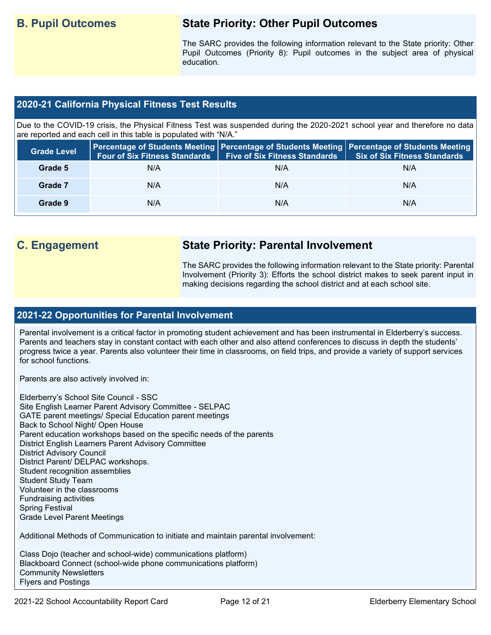## **B. Pupil Outcomes State Priority: Other Pupil Outcomes**

The SARC provides the following information relevant to the State priority: Other Pupil Outcomes (Priority 8): Pupil outcomes in the subject area of physical education.

## **2020-21 California Physical Fitness Test Results**

Due to the COVID-19 crisis, the Physical Fitness Test was suspended during the 2020-2021 school year and therefore no data are reported and each cell in this table is populated with "N/A."

| <b>Grade Level</b> | <b>Four of Six Fitness Standards</b> | <b>Five of Six Fitness Standards</b> | Percentage of Students Meeting   Percentage of Students Meeting   Percentage of Students Meeting  <br><b>Six of Six Fitness Standards</b> |
|--------------------|--------------------------------------|--------------------------------------|-------------------------------------------------------------------------------------------------------------------------------------------|
| Grade 5            | N/A                                  | N/A                                  | N/A                                                                                                                                       |
| Grade 7            | N/A                                  | N/A                                  | N/A                                                                                                                                       |
| Grade 9            | N/A                                  | N/A                                  | N/A                                                                                                                                       |

## **C. Engagement State Priority: Parental Involvement**

The SARC provides the following information relevant to the State priority: Parental Involvement (Priority 3): Efforts the school district makes to seek parent input in making decisions regarding the school district and at each school site.

### **2021-22 Opportunities for Parental Involvement**

Parental involvement is a critical factor in promoting student achievement and has been instrumental in Elderberry's success. Parents and teachers stay in constant contact with each other and also attend conferences to discuss in depth the students' progress twice a year. Parents also volunteer their time in classrooms, on field trips, and provide a variety of support services for school functions.

Parents are also actively involved in:

Elderberry's School Site Council - SSC Site English Learner Parent Advisory Committee - SELPAC GATE parent meetings/ Special Education parent meetings Back to School Night/ Open House Parent education workshops based on the specific needs of the parents District English Learners Parent Advisory Committee District Advisory Council District Parent/ DELPAC workshops. Student recognition assemblies Student Study Team Volunteer in the classrooms Fundraising activities Spring Festival Grade Level Parent Meetings

Additional Methods of Communication to initiate and maintain parental involvement:

Class Dojo (teacher and school-wide) communications platform) Blackboard Connect (school-wide phone communications platform) Community Newsletters Flyers and Postings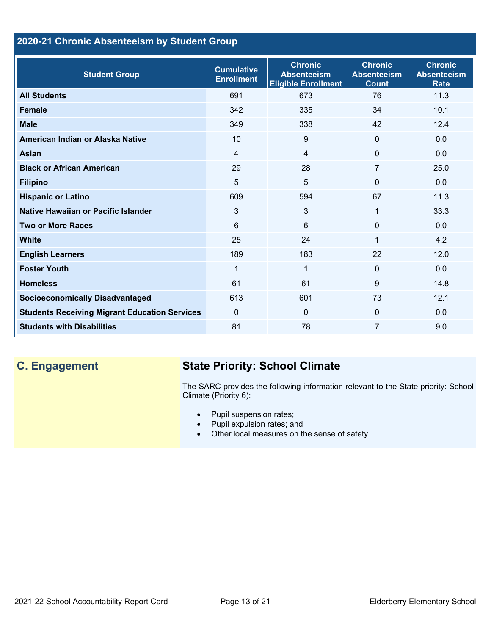## **2020-21 Chronic Absenteeism by Student Group**

| <b>Student Group</b>                                 | <b>Cumulative</b><br><b>Enrollment</b> | <b>Chronic</b><br><b>Absenteeism</b><br><b>Eligible Enrollment</b> | <b>Chronic</b><br><b>Absenteeism</b><br><b>Count</b> | <b>Chronic</b><br><b>Absenteeism</b><br><b>Rate</b> |
|------------------------------------------------------|----------------------------------------|--------------------------------------------------------------------|------------------------------------------------------|-----------------------------------------------------|
| <b>All Students</b>                                  | 691                                    | 673                                                                | 76                                                   | 11.3                                                |
| <b>Female</b>                                        | 342                                    | 335                                                                | 34                                                   | 10.1                                                |
| <b>Male</b>                                          | 349                                    | 338                                                                | 42                                                   | 12.4                                                |
| American Indian or Alaska Native                     | 10                                     | 9                                                                  | $\mathbf{0}$                                         | 0.0                                                 |
| <b>Asian</b>                                         | $\overline{4}$                         | $\overline{4}$                                                     | $\mathbf{0}$                                         | 0.0                                                 |
| <b>Black or African American</b>                     | 29                                     | 28                                                                 | $\overline{7}$                                       | 25.0                                                |
| <b>Filipino</b>                                      | 5                                      | 5                                                                  | $\mathbf{0}$                                         | 0.0                                                 |
| <b>Hispanic or Latino</b>                            | 609                                    | 594                                                                | 67                                                   | 11.3                                                |
| Native Hawaiian or Pacific Islander                  | 3                                      | 3                                                                  | $\mathbf{1}$                                         | 33.3                                                |
| <b>Two or More Races</b>                             | 6                                      | 6                                                                  | $\mathbf{0}$                                         | 0.0                                                 |
| <b>White</b>                                         | 25                                     | 24                                                                 | 1                                                    | 4.2                                                 |
| <b>English Learners</b>                              | 189                                    | 183                                                                | 22                                                   | 12.0                                                |
| <b>Foster Youth</b>                                  | 1                                      | $\mathbf{1}$                                                       | $\mathbf{0}$                                         | 0.0                                                 |
| <b>Homeless</b>                                      | 61                                     | 61                                                                 | 9                                                    | 14.8                                                |
| <b>Socioeconomically Disadvantaged</b>               | 613                                    | 601                                                                | 73                                                   | 12.1                                                |
| <b>Students Receiving Migrant Education Services</b> | $\mathbf 0$                            | $\Omega$                                                           | $\mathbf{0}$                                         | 0.0                                                 |
| <b>Students with Disabilities</b>                    | 81                                     | 78                                                                 | $\overline{7}$                                       | 9.0                                                 |

## **C. Engagement State Priority: School Climate**

The SARC provides the following information relevant to the State priority: School Climate (Priority 6):

- Pupil suspension rates;
- Pupil expulsion rates; and
- Other local measures on the sense of safety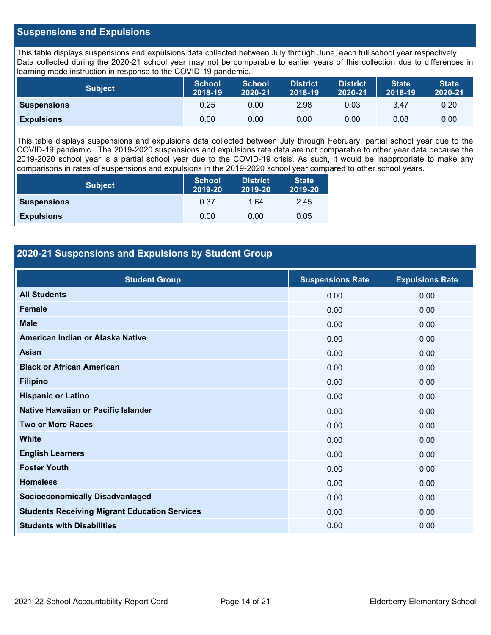## **Suspensions and Expulsions**

This table displays suspensions and expulsions data collected between July through June, each full school year respectively. Data collected during the 2020-21 school year may not be comparable to earlier years of this collection due to differences in learning mode instruction in response to the COVID-19 pandemic.

| <b>Subject</b>     | <b>School</b><br>2018-19 | <b>School</b><br>2020-21 | <b>District</b><br>2018-19 | <b>District</b><br>2020-21 | <b>State</b><br>2018-19 | <b>State</b><br>2020-21 |
|--------------------|--------------------------|--------------------------|----------------------------|----------------------------|-------------------------|-------------------------|
| <b>Suspensions</b> | 0.25                     | 0.00                     | 2.98                       | 0.03                       | 3.47                    | 0.20                    |
| <b>Expulsions</b>  | 0.00                     | 0.00                     | 0.00                       | 0.00                       | 0.08                    | 0.00                    |

This table displays suspensions and expulsions data collected between July through February, partial school year due to the COVID-19 pandemic. The 2019-2020 suspensions and expulsions rate data are not comparable to other year data because the 2019-2020 school year is a partial school year due to the COVID-19 crisis. As such, it would be inappropriate to make any comparisons in rates of suspensions and expulsions in the 2019-2020 school year compared to other school years.

| <b>Subject</b>     | <b>School</b><br>2019-20 | <b>District</b><br>2019-20 | <b>State</b><br>2019-20 |
|--------------------|--------------------------|----------------------------|-------------------------|
| <b>Suspensions</b> | 0.37                     | 1.64                       | 2.45                    |
| <b>Expulsions</b>  | 0.00                     | 0.00                       | 0.05                    |

## **2020-21 Suspensions and Expulsions by Student Group**

| <b>Student Group</b>                                 | <b>Suspensions Rate</b> | <b>Expulsions Rate</b> |
|------------------------------------------------------|-------------------------|------------------------|
| <b>All Students</b>                                  | 0.00                    | 0.00                   |
| <b>Female</b>                                        | 0.00                    | 0.00                   |
| <b>Male</b>                                          | 0.00                    | 0.00                   |
| American Indian or Alaska Native                     | 0.00                    | 0.00                   |
| <b>Asian</b>                                         | 0.00                    | 0.00                   |
| <b>Black or African American</b>                     | 0.00                    | 0.00                   |
| <b>Filipino</b>                                      | 0.00                    | 0.00                   |
| <b>Hispanic or Latino</b>                            | 0.00                    | 0.00                   |
| Native Hawaiian or Pacific Islander                  | 0.00                    | 0.00                   |
| <b>Two or More Races</b>                             | 0.00                    | 0.00                   |
| <b>White</b>                                         | 0.00                    | 0.00                   |
| <b>English Learners</b>                              | 0.00                    | 0.00                   |
| <b>Foster Youth</b>                                  | 0.00                    | 0.00                   |
| <b>Homeless</b>                                      | 0.00                    | 0.00                   |
| <b>Socioeconomically Disadvantaged</b>               | 0.00                    | 0.00                   |
| <b>Students Receiving Migrant Education Services</b> | 0.00                    | 0.00                   |
| <b>Students with Disabilities</b>                    | 0.00                    | 0.00                   |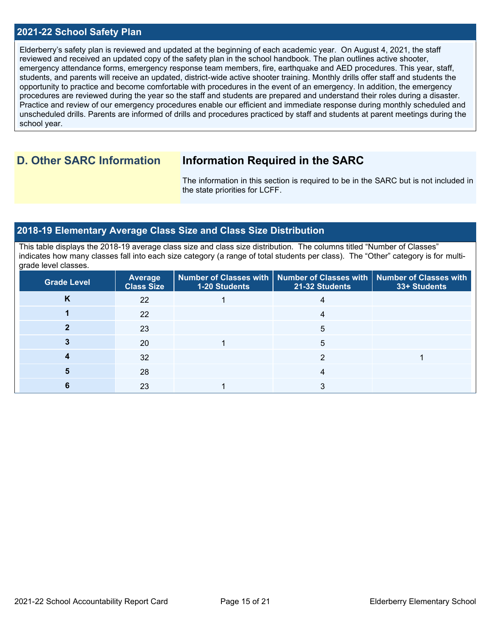## **2021-22 School Safety Plan**

Elderberry's safety plan is reviewed and updated at the beginning of each academic year. On August 4, 2021, the staff reviewed and received an updated copy of the safety plan in the school handbook. The plan outlines active shooter, emergency attendance forms, emergency response team members, fire, earthquake and AED procedures. This year, staff, students, and parents will receive an updated, district-wide active shooter training. Monthly drills offer staff and students the opportunity to practice and become comfortable with procedures in the event of an emergency. In addition, the emergency procedures are reviewed during the year so the staff and students are prepared and understand their roles during a disaster. Practice and review of our emergency procedures enable our efficient and immediate response during monthly scheduled and unscheduled drills. Parents are informed of drills and procedures practiced by staff and students at parent meetings during the school year.

## **D. Other SARC Information Information Required in the SARC**

The information in this section is required to be in the SARC but is not included in the state priorities for LCFF.

## **2018-19 Elementary Average Class Size and Class Size Distribution**

This table displays the 2018-19 average class size and class size distribution. The columns titled "Number of Classes" indicates how many classes fall into each size category (a range of total students per class). The "Other" category is for multigrade level classes.

| <b>Grade Level</b> | <b>Average</b><br><b>Class Size</b> | 1-20 Students | Number of Classes with   Number of Classes with   Number of Classes with<br>21-32 Students | 33+ Students |
|--------------------|-------------------------------------|---------------|--------------------------------------------------------------------------------------------|--------------|
| N                  | 22                                  |               |                                                                                            |              |
|                    | 22                                  |               |                                                                                            |              |
|                    | 23                                  |               | 5                                                                                          |              |
|                    | 20                                  |               | 5                                                                                          |              |
|                    | 32                                  |               |                                                                                            |              |
|                    | 28                                  |               |                                                                                            |              |
|                    | 23                                  |               |                                                                                            |              |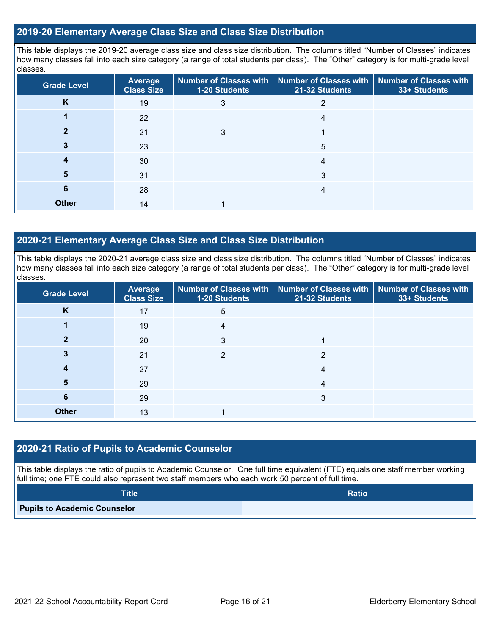## **2019-20 Elementary Average Class Size and Class Size Distribution**

This table displays the 2019-20 average class size and class size distribution. The columns titled "Number of Classes" indicates how many classes fall into each size category (a range of total students per class). The "Other" category is for multi-grade level classes.

| <b>Grade Level</b> | <b>Average</b><br><b>Class Size</b> | <b>Number of Classes with</b><br>1-20 Students | <b>Number of Classes with</b><br>21-32 Students | <b>Number of Classes with</b><br>33+ Students |
|--------------------|-------------------------------------|------------------------------------------------|-------------------------------------------------|-----------------------------------------------|
| K                  | 19                                  | 3                                              |                                                 |                                               |
|                    | 22                                  |                                                |                                                 |                                               |
|                    | 21                                  | 3                                              |                                                 |                                               |
|                    | 23                                  |                                                | 5                                               |                                               |
| 4                  | 30                                  |                                                | 4                                               |                                               |
| 5                  | 31                                  |                                                | 3                                               |                                               |
| 6                  | 28                                  |                                                | 4                                               |                                               |
| <b>Other</b>       | 14                                  |                                                |                                                 |                                               |

## **2020-21 Elementary Average Class Size and Class Size Distribution**

This table displays the 2020-21 average class size and class size distribution. The columns titled "Number of Classes" indicates how many classes fall into each size category (a range of total students per class). The "Other" category is for multi-grade level classes.

| <b>Grade Level</b> | <b>Average</b><br><b>Class Size</b> | 1-20 Students | Number of Classes with   Number of Classes with   Number of Classes with<br>21-32 Students | 33+ Students |
|--------------------|-------------------------------------|---------------|--------------------------------------------------------------------------------------------|--------------|
| K                  | 17                                  | 5             |                                                                                            |              |
|                    | 19                                  | 4             |                                                                                            |              |
| כי                 | 20                                  | 3             |                                                                                            |              |
|                    | 21                                  | ◠             | າ                                                                                          |              |
| 4                  | 27                                  |               | 4                                                                                          |              |
| 5                  | 29                                  |               | 4                                                                                          |              |
| 6                  | 29                                  |               | 3                                                                                          |              |
| <b>Other</b>       | 13                                  |               |                                                                                            |              |

### **2020-21 Ratio of Pupils to Academic Counselor**

This table displays the ratio of pupils to Academic Counselor. One full time equivalent (FTE) equals one staff member working full time; one FTE could also represent two staff members who each work 50 percent of full time.

| <b>Title</b>                        | <b>Ratio</b> |
|-------------------------------------|--------------|
| <b>Pupils to Academic Counselor</b> |              |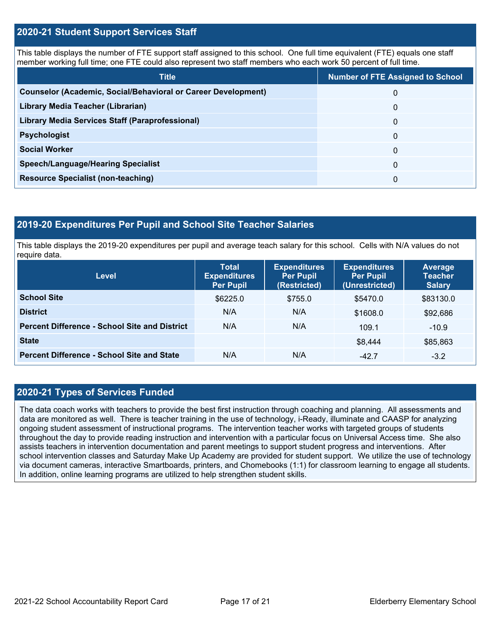## **2020-21 Student Support Services Staff**

This table displays the number of FTE support staff assigned to this school. One full time equivalent (FTE) equals one staff member working full time; one FTE could also represent two staff members who each work 50 percent of full time.

| <b>Title</b>                                                         | <b>Number of FTE Assigned to School</b> |
|----------------------------------------------------------------------|-----------------------------------------|
| <b>Counselor (Academic, Social/Behavioral or Career Development)</b> | 0                                       |
| Library Media Teacher (Librarian)                                    | 0                                       |
| Library Media Services Staff (Paraprofessional)                      | 0                                       |
| <b>Psychologist</b>                                                  | 0                                       |
| <b>Social Worker</b>                                                 | $\Omega$                                |
| <b>Speech/Language/Hearing Specialist</b>                            | 0                                       |
| <b>Resource Specialist (non-teaching)</b>                            | 0                                       |

### **2019-20 Expenditures Per Pupil and School Site Teacher Salaries**

This table displays the 2019-20 expenditures per pupil and average teach salary for this school. Cells with N/A values do not require data.

| <b>Level</b>                                         | <b>Total</b><br><b>Expenditures</b><br><b>Per Pupil</b> | <b>Expenditures</b><br><b>Per Pupil</b><br>(Restricted) | <b>Expenditures</b><br><b>Per Pupil</b><br>(Unrestricted) | <b>Average</b><br><b>Teacher</b><br><b>Salary</b> |
|------------------------------------------------------|---------------------------------------------------------|---------------------------------------------------------|-----------------------------------------------------------|---------------------------------------------------|
| <b>School Site</b>                                   | \$6225.0                                                | \$755.0                                                 | \$5470.0                                                  | \$83130.0                                         |
| <b>District</b>                                      | N/A                                                     | N/A                                                     | \$1608.0                                                  | \$92,686                                          |
| <b>Percent Difference - School Site and District</b> | N/A                                                     | N/A                                                     | 109.1                                                     | $-10.9$                                           |
| <b>State</b>                                         |                                                         |                                                         | \$8,444                                                   | \$85,863                                          |
| <b>Percent Difference - School Site and State</b>    | N/A                                                     | N/A                                                     | $-42.7$                                                   | $-3.2$                                            |

## **2020-21 Types of Services Funded**

The data coach works with teachers to provide the best first instruction through coaching and planning. All assessments and data are monitored as well. There is teacher training in the use of technology, i-Ready, illuminate and CAASP for analyzing ongoing student assessment of instructional programs. The intervention teacher works with targeted groups of students throughout the day to provide reading instruction and intervention with a particular focus on Universal Access time. She also assists teachers in intervention documentation and parent meetings to support student progress and interventions. After school intervention classes and Saturday Make Up Academy are provided for student support. We utilize the use of technology via document cameras, interactive Smartboards, printers, and Chomebooks (1:1) for classroom learning to engage all students. In addition, online learning programs are utilized to help strengthen student skills.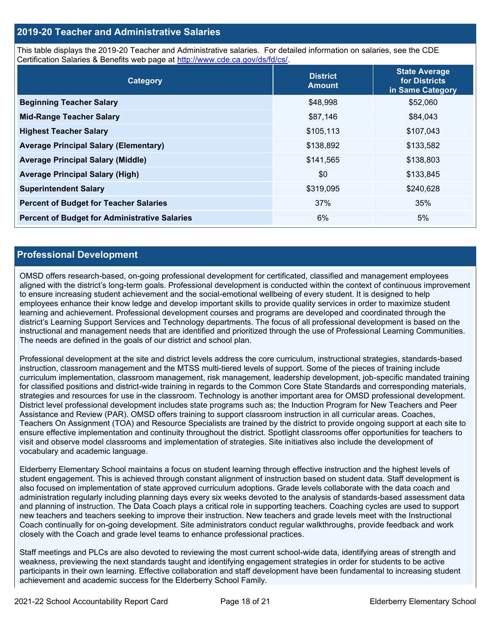## **2019-20 Teacher and Administrative Salaries**

This table displays the 2019-20 Teacher and Administrative salaries. For detailed information on salaries, see the CDE Certification Salaries & Benefits web page at [http://www.cde.ca.gov/ds/fd/cs/.](http://www.cde.ca.gov/ds/fd/cs/)

| Category                                             | <b>District</b><br><b>Amount</b> | <b>State Average</b><br>for Districts<br>in Same Category |
|------------------------------------------------------|----------------------------------|-----------------------------------------------------------|
| <b>Beginning Teacher Salary</b>                      | \$48,998                         | \$52,060                                                  |
| <b>Mid-Range Teacher Salary</b>                      | \$87,146                         | \$84,043                                                  |
| <b>Highest Teacher Salary</b>                        | \$105,113                        | \$107,043                                                 |
| <b>Average Principal Salary (Elementary)</b>         | \$138,892                        | \$133,582                                                 |
| <b>Average Principal Salary (Middle)</b>             | \$141,565                        | \$138,803                                                 |
| <b>Average Principal Salary (High)</b>               | \$0                              | \$133,845                                                 |
| <b>Superintendent Salary</b>                         | \$319,095                        | \$240,628                                                 |
| <b>Percent of Budget for Teacher Salaries</b>        | 37%                              | 35%                                                       |
| <b>Percent of Budget for Administrative Salaries</b> | 6%                               | 5%                                                        |

### **Professional Development**

OMSD offers research-based, on-going professional development for certificated, classified and management employees aligned with the district's long-term goals. Professional development is conducted within the context of continuous improvement to ensure increasing student achievement and the social-emotional wellbeing of every student. It is designed to help employees enhance their know ledge and develop important skills to provide quality services in order to maximize student learning and achievement. Professional development courses and programs are developed and coordinated through the district's Learning Support Services and Technology departments. The focus of all professional development is based on the instructional and management needs that are identified and prioritized through the use of Professional Learning Communities. The needs are defined in the goals of our district and school plan.

Professional development at the site and district levels address the core curriculum, instructional strategies, standards-based instruction, classroom management and the MTSS multi-tiered levels of support. Some of the pieces of training include curriculum implementation, classroom management, risk management, leadership development, job-specific mandated training for classified positions and district-wide training in regards to the Common Core State Standards and corresponding materials, strategies and resources for use in the classroom. Technology is another important area for OMSD professional development. District level professional development includes state programs such as; the Induction Program for New Teachers and Peer Assistance and Review (PAR). OMSD offers training to support classroom instruction in all curricular areas. Coaches, Teachers On Assignment (TOA) and Resource Specialists are trained by the district to provide ongoing support at each site to ensure effective implementation and continuity throughout the district. Spotlight classrooms offer opportunities for teachers to visit and observe model classrooms and implementation of strategies. Site initiatives also include the development of vocabulary and academic language.

Elderberry Elementary School maintains a focus on student learning through effective instruction and the highest levels of student engagement. This is achieved through constant alignment of instruction based on student data. Staff development is also focused on implementation of state approved curriculum adoptions. Grade levels collaborate with the data coach and administration regularly including planning days every six weeks devoted to the analysis of standards-based assessment data and planning of instruction. The Data Coach plays a critical role in supporting teachers. Coaching cycles are used to support new teachers and teachers seeking to improve their instruction. New teachers and grade levels meet with the Instructional Coach continually for on-going development. Site administrators conduct regular walkthroughs, provide feedback and work closely with the Coach and grade level teams to enhance professional practices.

Staff meetings and PLCs are also devoted to reviewing the most current school-wide data, identifying areas of strength and weakness, previewing the next standards taught and identifying engagement strategies in order for students to be active participants in their own learning. Effective collaboration and staff development have been fundamental to increasing student achievement and academic success for the Elderberry School Family.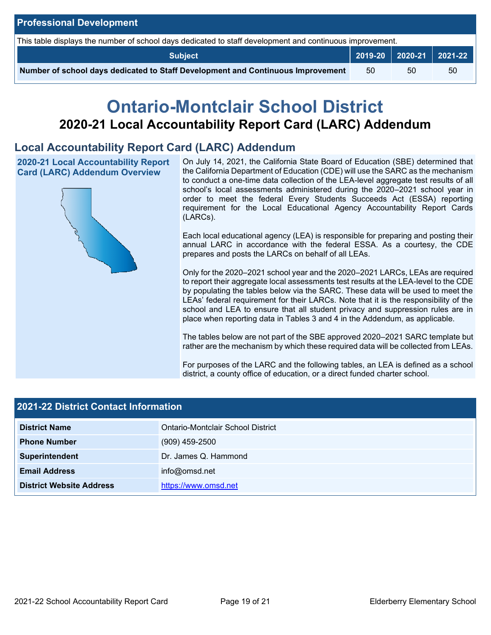| <b>Professional Development</b>                                                                          |    |    |                                                 |  |  |  |
|----------------------------------------------------------------------------------------------------------|----|----|-------------------------------------------------|--|--|--|
| This table displays the number of school days dedicated to staff development and continuous improvement. |    |    |                                                 |  |  |  |
| <b>Subject</b>                                                                                           |    |    | $\vert$ 2019-20 $\vert$ 2020-21 $\vert$ 2021-22 |  |  |  |
| Number of school days dedicated to Staff Development and Continuous Improvement                          | 50 | 50 | 50                                              |  |  |  |

# **Ontario-Montclair School District 2020-21 Local Accountability Report Card (LARC) Addendum**

## **Local Accountability Report Card (LARC) Addendum**

**2020-21 Local Accountability Report Card (LARC) Addendum Overview**



On July 14, 2021, the California State Board of Education (SBE) determined that the California Department of Education (CDE) will use the SARC as the mechanism to conduct a one-time data collection of the LEA-level aggregate test results of all school's local assessments administered during the 2020–2021 school year in order to meet the federal Every Students Succeeds Act (ESSA) reporting requirement for the Local Educational Agency Accountability Report Cards (LARCs).

Each local educational agency (LEA) is responsible for preparing and posting their annual LARC in accordance with the federal ESSA. As a courtesy, the CDE prepares and posts the LARCs on behalf of all LEAs.

Only for the 2020–2021 school year and the 2020–2021 LARCs, LEAs are required to report their aggregate local assessments test results at the LEA-level to the CDE by populating the tables below via the SARC. These data will be used to meet the LEAs' federal requirement for their LARCs. Note that it is the responsibility of the school and LEA to ensure that all student privacy and suppression rules are in place when reporting data in Tables 3 and 4 in the Addendum, as applicable.

The tables below are not part of the SBE approved 2020–2021 SARC template but rather are the mechanism by which these required data will be collected from LEAs.

For purposes of the LARC and the following tables, an LEA is defined as a school district, a county office of education, or a direct funded charter school.

| <b>2021-22 District Contact Information</b> |                                          |  |  |  |
|---------------------------------------------|------------------------------------------|--|--|--|
| <b>District Name</b>                        | <b>Ontario-Montclair School District</b> |  |  |  |
| <b>Phone Number</b>                         | $(909)$ 459-2500                         |  |  |  |
| Superintendent                              | Dr. James Q. Hammond                     |  |  |  |
| <b>Email Address</b>                        | info@omsd.net                            |  |  |  |
| <b>District Website Address</b>             | https://www.omsd.net                     |  |  |  |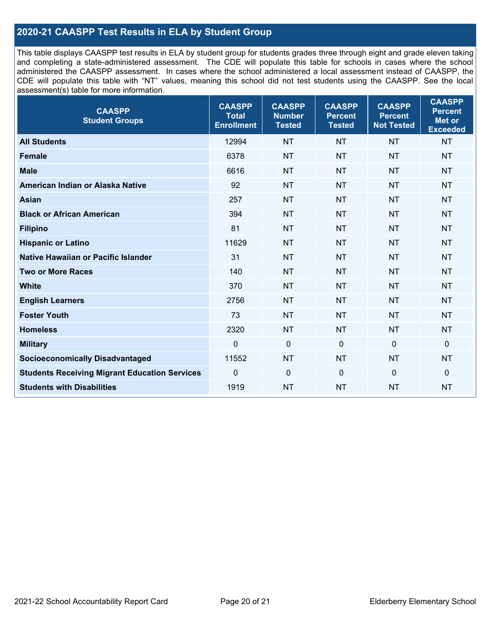## **2020-21 CAASPP Test Results in ELA by Student Group**

This table displays CAASPP test results in ELA by student group for students grades three through eight and grade eleven taking and completing a state-administered assessment. The CDE will populate this table for schools in cases where the school administered the CAASPP assessment. In cases where the school administered a local assessment instead of CAASPP, the CDE will populate this table with "NT" values, meaning this school did not test students using the CAASPP. See the local assessment(s) table for more information.

| <b>CAASPP</b><br><b>Student Groups</b>               | <b>CAASPP</b><br><b>Total</b><br><b>Enrollment</b> | <b>CAASPP</b><br><b>Number</b><br><b>Tested</b> | <b>CAASPP</b><br><b>Percent</b><br><b>Tested</b> | <b>CAASPP</b><br><b>Percent</b><br><b>Not Tested</b> | <b>CAASPP</b><br><b>Percent</b><br>Met or<br><b>Exceeded</b> |
|------------------------------------------------------|----------------------------------------------------|-------------------------------------------------|--------------------------------------------------|------------------------------------------------------|--------------------------------------------------------------|
| <b>All Students</b>                                  | 12994                                              | <b>NT</b>                                       | <b>NT</b>                                        | <b>NT</b>                                            | <b>NT</b>                                                    |
| <b>Female</b>                                        | 6378                                               | <b>NT</b>                                       | <b>NT</b>                                        | <b>NT</b>                                            | <b>NT</b>                                                    |
| <b>Male</b>                                          | 6616                                               | <b>NT</b>                                       | <b>NT</b>                                        | <b>NT</b>                                            | <b>NT</b>                                                    |
| American Indian or Alaska Native                     | 92                                                 | <b>NT</b>                                       | <b>NT</b>                                        | <b>NT</b>                                            | <b>NT</b>                                                    |
| <b>Asian</b>                                         | 257                                                | <b>NT</b>                                       | <b>NT</b>                                        | <b>NT</b>                                            | <b>NT</b>                                                    |
| <b>Black or African American</b>                     | 394                                                | <b>NT</b>                                       | <b>NT</b>                                        | <b>NT</b>                                            | <b>NT</b>                                                    |
| <b>Filipino</b>                                      | 81                                                 | <b>NT</b>                                       | <b>NT</b>                                        | <b>NT</b>                                            | <b>NT</b>                                                    |
| <b>Hispanic or Latino</b>                            | 11629                                              | <b>NT</b>                                       | <b>NT</b>                                        | <b>NT</b>                                            | <b>NT</b>                                                    |
| <b>Native Hawaiian or Pacific Islander</b>           | 31                                                 | <b>NT</b>                                       | <b>NT</b>                                        | <b>NT</b>                                            | <b>NT</b>                                                    |
| <b>Two or More Races</b>                             | 140                                                | <b>NT</b>                                       | <b>NT</b>                                        | <b>NT</b>                                            | <b>NT</b>                                                    |
| <b>White</b>                                         | 370                                                | <b>NT</b>                                       | <b>NT</b>                                        | <b>NT</b>                                            | <b>NT</b>                                                    |
| <b>English Learners</b>                              | 2756                                               | <b>NT</b>                                       | <b>NT</b>                                        | <b>NT</b>                                            | <b>NT</b>                                                    |
| <b>Foster Youth</b>                                  | 73                                                 | <b>NT</b>                                       | <b>NT</b>                                        | <b>NT</b>                                            | <b>NT</b>                                                    |
| <b>Homeless</b>                                      | 2320                                               | <b>NT</b>                                       | <b>NT</b>                                        | <b>NT</b>                                            | <b>NT</b>                                                    |
| <b>Military</b>                                      | $\mathbf 0$                                        | $\mathbf 0$                                     | $\mathbf 0$                                      | $\mathbf 0$                                          | 0                                                            |
| <b>Socioeconomically Disadvantaged</b>               | 11552                                              | <b>NT</b>                                       | <b>NT</b>                                        | <b>NT</b>                                            | <b>NT</b>                                                    |
| <b>Students Receiving Migrant Education Services</b> | 0                                                  | $\mathbf 0$                                     | $\mathbf{0}$                                     | $\mathbf 0$                                          | 0                                                            |
| <b>Students with Disabilities</b>                    | 1919                                               | <b>NT</b>                                       | <b>NT</b>                                        | <b>NT</b>                                            | <b>NT</b>                                                    |